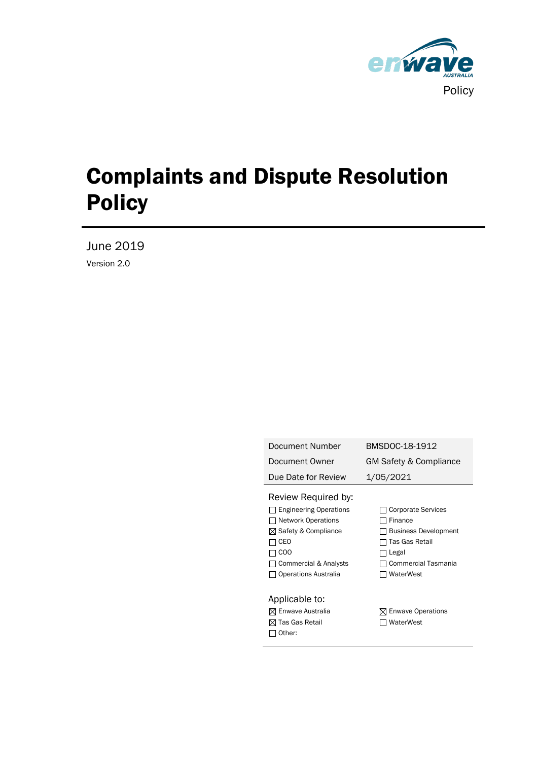

# Complaints and Dispute Resolution Policy

June 2019 Version 2.0

| Document Number                                                                                                                                                                       | BMSDOC-18-1912                                                                                                                            |
|---------------------------------------------------------------------------------------------------------------------------------------------------------------------------------------|-------------------------------------------------------------------------------------------------------------------------------------------|
| Document Owner                                                                                                                                                                        | GM Safety & Compliance                                                                                                                    |
| Due Date for Review                                                                                                                                                                   | 1/05/2021                                                                                                                                 |
| Review Required by:<br><b>Engineering Operations</b><br><b>Network Operations</b><br>⊠ Safety & Compliance<br>CEO<br>CO <sub>O</sub><br>Commercial & Analysts<br>Operations Australia | <b>Corporate Services</b><br>Finance<br><b>Business Development</b><br>Tas Gas Retail<br>Legal<br><b>Commercial Tasmania</b><br>WaterWest |
| Applicable to:<br>⊠ Enwave Australia<br>Tas Gas Retail<br>Other:                                                                                                                      | $\boxtimes$ Enwave Operations<br>WaterWest                                                                                                |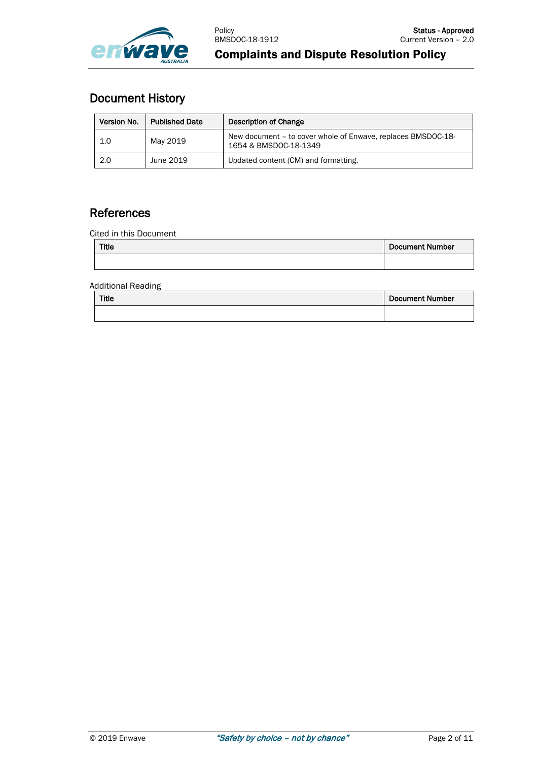

# Document History

| Version No. | <b>Published Date</b> | Description of Change                                                                 |
|-------------|-----------------------|---------------------------------------------------------------------------------------|
| 1.0         | May 2019              | New document - to cover whole of Enwave, replaces BMSDOC-18-<br>1654 & BMSDOC-18-1349 |
| 2.0         | June 2019             | Updated content (CM) and formatting.                                                  |

# **References**

Cited in this Document

| <b>Title</b> | Document Number |
|--------------|-----------------|
|              |                 |

Additional Reading

| Title | <b>Document Number</b> |
|-------|------------------------|
|       |                        |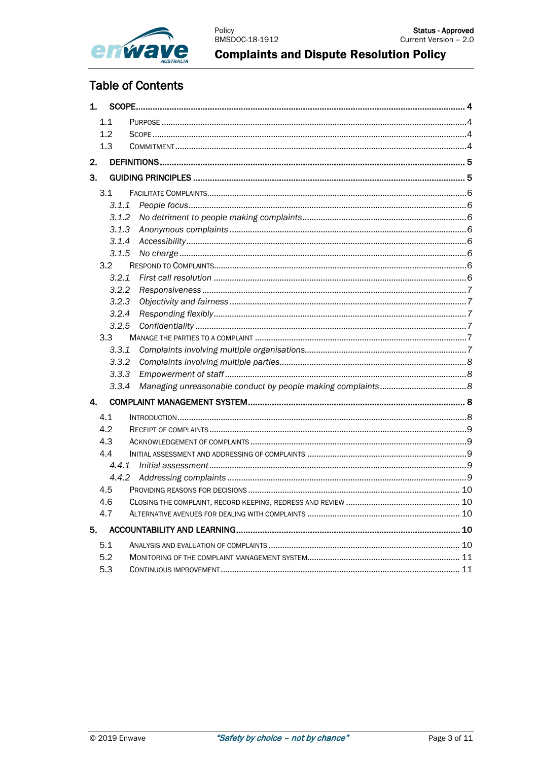

# **Table of Contents**

| 1. |       |  |
|----|-------|--|
|    | 1.1   |  |
|    | 1.2   |  |
|    | 1.3   |  |
| 2. |       |  |
| 3. |       |  |
|    | 3.1   |  |
|    | 3.1.1 |  |
|    | 3.1.2 |  |
|    | 3.1.3 |  |
|    | 3.1.4 |  |
|    | 3.1.5 |  |
|    | 3.2   |  |
|    | 3.2.1 |  |
|    | 3.2.2 |  |
|    | 3.2.3 |  |
|    | 3.2.4 |  |
|    | 3.2.5 |  |
|    | 3.3   |  |
|    | 3.3.1 |  |
|    | 3.3.2 |  |
|    | 3.3.3 |  |
|    | 3.3.4 |  |
| 4. |       |  |
|    | 4.1   |  |
|    | 4.2   |  |
|    | 4.3   |  |
|    | 4.4   |  |
|    | 4.4.1 |  |
|    | 4.4.2 |  |
|    | 4.5   |  |
|    | 4.6   |  |
|    | 4.7   |  |
| 5. |       |  |
|    | 5.1   |  |
|    | 5.2   |  |
|    | 5.3   |  |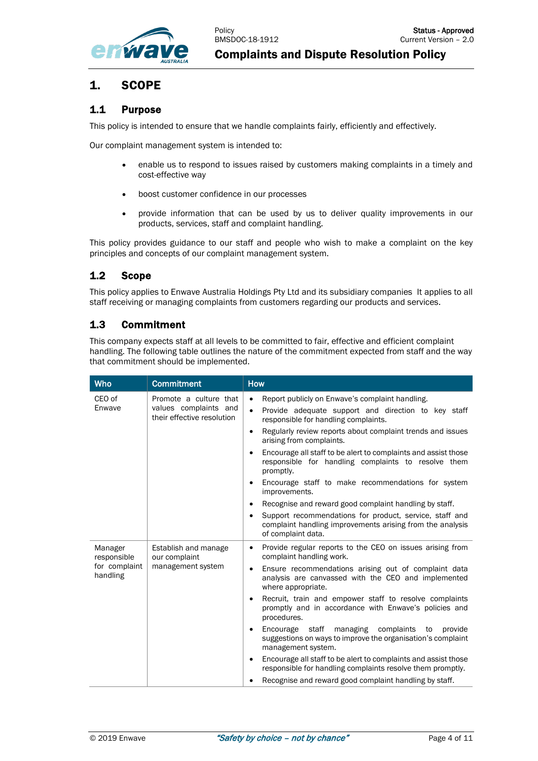

# <span id="page-3-0"></span>1. SCOPE

## <span id="page-3-1"></span>1.1 Purpose

This policy is intended to ensure that we handle complaints fairly, efficiently and effectively.

Our complaint management system is intended to:

- enable us to respond to issues raised by customers making complaints in a timely and cost-effective way
- boost customer confidence in our processes
- provide information that can be used by us to deliver quality improvements in our products, services, staff and complaint handling.

This policy provides guidance to our staff and people who wish to make a complaint on the key principles and concepts of our complaint management system.

## <span id="page-3-2"></span>1.2 Scope

This policy applies to Enwave Australia Holdings Pty Ltd and its subsidiary companies It applies to all staff receiving or managing complaints from customers regarding our products and services.

## <span id="page-3-3"></span>1.3 Commitment

This company expects staff at all levels to be committed to fair, effective and efficient complaint handling. The following table outlines the nature of the commitment expected from staff and the way that commitment should be implemented.

| <b>Who</b>                                          | <b>Commitment</b>                                                             | <b>How</b>                                                                                                                                                                                                                                                                                                                                                                                                                                                                                                                                                                                                                                                                                                                                                                 |
|-----------------------------------------------------|-------------------------------------------------------------------------------|----------------------------------------------------------------------------------------------------------------------------------------------------------------------------------------------------------------------------------------------------------------------------------------------------------------------------------------------------------------------------------------------------------------------------------------------------------------------------------------------------------------------------------------------------------------------------------------------------------------------------------------------------------------------------------------------------------------------------------------------------------------------------|
| CEO of<br>Enwave                                    | Promote a culture that<br>values complaints and<br>their effective resolution | Report publicly on Enwave's complaint handling.<br>$\bullet$<br>Provide adequate support and direction to key staff<br>$\bullet$<br>responsible for handling complaints.<br>Regularly review reports about complaint trends and issues<br>$\bullet$<br>arising from complaints.<br>Encourage all staff to be alert to complaints and assist those<br>$\bullet$<br>responsible for handling complaints to resolve them<br>promptly.<br>Encourage staff to make recommendations for system<br>$\bullet$<br>improvements.<br>Recognise and reward good complaint handling by staff.<br>$\bullet$<br>Support recommendations for product, service, staff and<br>$\bullet$<br>complaint handling improvements arising from the analysis<br>of complaint data.                   |
| Manager<br>responsible<br>for complaint<br>handling | Establish and manage<br>our complaint<br>management system                    | Provide regular reports to the CEO on issues arising from<br>$\bullet$<br>complaint handling work.<br>Ensure recommendations arising out of complaint data<br>$\bullet$<br>analysis are canvassed with the CEO and implemented<br>where appropriate.<br>Recruit, train and empower staff to resolve complaints<br>$\bullet$<br>promptly and in accordance with Enwave's policies and<br>procedures.<br>Encourage staff<br>managing<br>complaints<br>to<br>provide<br>$\bullet$<br>suggestions on ways to improve the organisation's complaint<br>management system.<br>Encourage all staff to be alert to complaints and assist those<br>$\bullet$<br>responsible for handling complaints resolve them promptly.<br>Recognise and reward good complaint handling by staff. |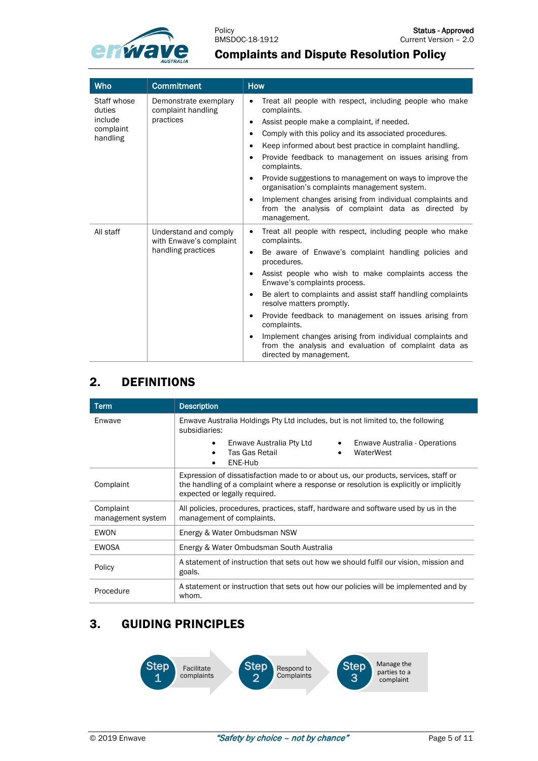

# Complaints and Dispute Resolution Policy

| <b>Who</b>                                                | <b>Commitment</b>                                                      | <b>How</b>                                                                                                                                                                                                                                                                                                                                                                                                                                                                                                                                                                                                                       |
|-----------------------------------------------------------|------------------------------------------------------------------------|----------------------------------------------------------------------------------------------------------------------------------------------------------------------------------------------------------------------------------------------------------------------------------------------------------------------------------------------------------------------------------------------------------------------------------------------------------------------------------------------------------------------------------------------------------------------------------------------------------------------------------|
| Staff whose<br>duties<br>include<br>complaint<br>handling | Demonstrate exemplary<br>complaint handling<br>practices               | Treat all people with respect, including people who make<br>$\bullet$<br>complaints.<br>Assist people make a complaint, if needed.<br>٠<br>Comply with this policy and its associated procedures.<br>$\bullet$<br>Keep informed about best practice in complaint handling.<br>٠<br>Provide feedback to management on issues arising from<br>٠<br>complaints.<br>Provide suggestions to management on ways to improve the<br>$\bullet$<br>organisation's complaints management system.<br>Implement changes arising from individual complaints and<br>٠<br>from the analysis of complaint data as directed by<br>management.      |
| All staff                                                 | Understand and comply<br>with Enwave's complaint<br>handling practices | Treat all people with respect, including people who make<br>$\bullet$<br>complaints.<br>Be aware of Enwave's complaint handling policies and<br>$\bullet$<br>procedures.<br>Assist people who wish to make complaints access the<br>$\bullet$<br>Enwave's complaints process.<br>Be alert to complaints and assist staff handling complaints<br>٠<br>resolve matters promptly.<br>Provide feedback to management on issues arising from<br>$\bullet$<br>complaints.<br>Implement changes arising from individual complaints and<br>$\bullet$<br>from the analysis and evaluation of complaint data as<br>directed by management. |

# <span id="page-4-0"></span>2. DEFINITIONS

| <b>Term</b>                    | <b>Description</b>                                                                                                                                                                                             |  |
|--------------------------------|----------------------------------------------------------------------------------------------------------------------------------------------------------------------------------------------------------------|--|
| Enwave                         | Enwave Australia Holdings Pty Ltd includes, but is not limited to, the following<br>subsidiaries:                                                                                                              |  |
|                                | Enwave Australia Pty Ltd<br>Enwave Australia - Operations<br>$\bullet$<br>Tas Gas Retail<br>WaterWest<br>ENE-Hub                                                                                               |  |
| Complaint                      | Expression of dissatisfaction made to or about us, our products, services, staff or<br>the handling of a complaint where a response or resolution is explicitly or implicitly<br>expected or legally required. |  |
| Complaint<br>management system | All policies, procedures, practices, staff, hardware and software used by us in the<br>management of complaints.                                                                                               |  |
| EWON                           | Energy & Water Ombudsman NSW                                                                                                                                                                                   |  |
| EWOSA                          | Energy & Water Ombudsman South Australia                                                                                                                                                                       |  |
| Policy                         | A statement of instruction that sets out how we should fulfil our vision, mission and<br>goals.                                                                                                                |  |
| Procedure                      | A statement or instruction that sets out how our policies will be implemented and by<br>whom.                                                                                                                  |  |

# <span id="page-4-1"></span>3. GUIDING PRINCIPLES

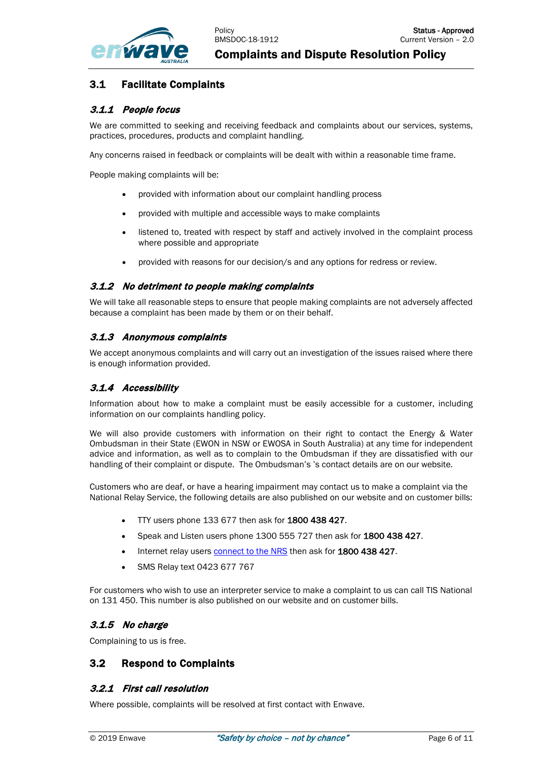

## <span id="page-5-0"></span>3.1 Facilitate Complaints

#### <span id="page-5-1"></span>3.1.1 People focus

We are committed to seeking and receiving feedback and complaints about our services, systems, practices, procedures, products and complaint handling.

Any concerns raised in feedback or complaints will be dealt with within a reasonable time frame.

People making complaints will be:

- provided with information about our complaint handling process
- provided with multiple and accessible ways to make complaints
- listened to, treated with respect by staff and actively involved in the complaint process where possible and appropriate
- provided with reasons for our decision/s and any options for redress or review.

#### <span id="page-5-2"></span>3.1.2 No detriment to people making complaints

We will take all reasonable steps to ensure that people making complaints are not adversely affected because a complaint has been made by them or on their behalf.

#### <span id="page-5-3"></span>3.1.3 Anonymous complaints

We accept anonymous complaints and will carry out an investigation of the issues raised where there is enough information provided.

#### <span id="page-5-4"></span>3.1.4 Accessibility

Information about how to make a complaint must be easily accessible for a customer, including information on our complaints handling policy.

We will also provide customers with information on their right to contact the Energy & Water Ombudsman in their State (EWON in NSW or EWOSA in South Australia) at any time for independent advice and information, as well as to complain to the Ombudsman if they are dissatisfied with our handling of their complaint or dispute. The Ombudsman's 's contact details are on our website.

Customers who are deaf, or have a hearing impairment may contact us to make a complaint via the National Relay Service, the following details are also published on our website and on customer bills:

- TTY users phone 133 677 then ask for 1800 438 427.
- Speak and Listen users phone 1300 555 727 then ask for 1800 438 427.
- Internet relay user[s connect to the NRS](http://www.relayservice.gov.au/) then ask for 1800 438 427.
- SMS Relay text 0423 677 767

For customers who wish to use an interpreter service to make a complaint to us can call TIS National on 131 450. This number is also published on our website and on customer bills.

#### <span id="page-5-5"></span>3.1.5 No charge

Complaining to us is free.

#### <span id="page-5-6"></span>3.2 Respond to Complaints

#### <span id="page-5-7"></span>3.2.1 First call resolution

Where possible, complaints will be resolved at first contact with Enwave.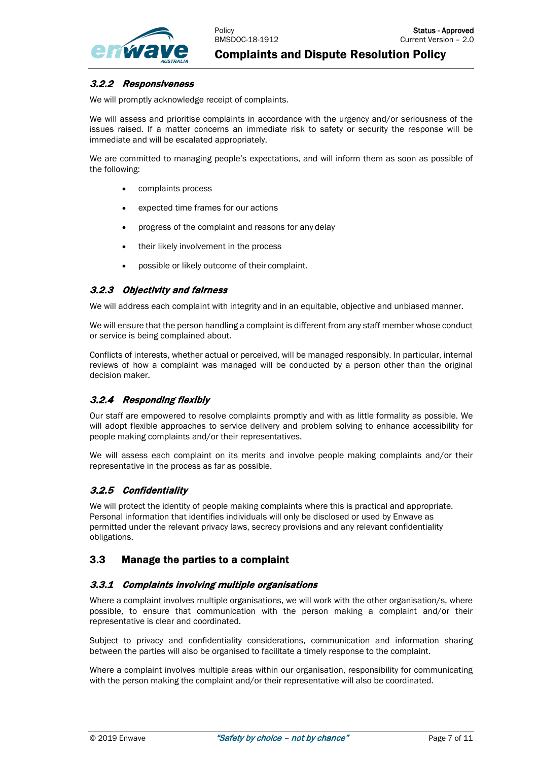

#### <span id="page-6-0"></span>3.2.2 Responsiveness

We will promptly acknowledge receipt of complaints.

We will assess and prioritise complaints in accordance with the urgency and/or seriousness of the issues raised. If a matter concerns an immediate risk to safety or security the response will be immediate and will be escalated appropriately.

We are committed to managing people's expectations, and will inform them as soon as possible of the following:

- complaints process
- expected time frames for our actions
- progress of the complaint and reasons for any delay
- their likely involvement in the process
- possible or likely outcome of their complaint.

#### <span id="page-6-1"></span>3.2.3 Objectivity and fairness

We will address each complaint with integrity and in an equitable, objective and unbiased manner.

We will ensure that the person handling a complaint is different from any staff member whose conduct or service is being complained about.

Conflicts of interests, whether actual or perceived, will be managed responsibly. In particular, internal reviews of how a complaint was managed will be conducted by a person other than the original decision maker.

#### <span id="page-6-2"></span>3.2.4 Responding flexibly

Our staff are empowered to resolve complaints promptly and with as little formality as possible. We will adopt flexible approaches to service delivery and problem solving to enhance accessibility for people making complaints and/or their representatives.

We will assess each complaint on its merits and involve people making complaints and/or their representative in the process as far as possible.

#### <span id="page-6-3"></span>3.2.5 Confidentiality

We will protect the identity of people making complaints where this is practical and appropriate. Personal information that identifies individuals will only be disclosed or used by Enwave as permitted under the relevant privacy laws, secrecy provisions and any relevant confidentiality obligations.

#### <span id="page-6-4"></span>3.3 Manage the parties to a complaint

#### <span id="page-6-5"></span>3.3.1 Complaints involving multiple organisations

Where a complaint involves multiple organisations, we will work with the other organisation/s, where possible, to ensure that communication with the person making a complaint and/or their representative is clear and coordinated.

Subject to privacy and confidentiality considerations, communication and information sharing between the parties will also be organised to facilitate a timely response to the complaint.

Where a complaint involves multiple areas within our organisation, responsibility for communicating with the person making the complaint and/or their representative will also be coordinated.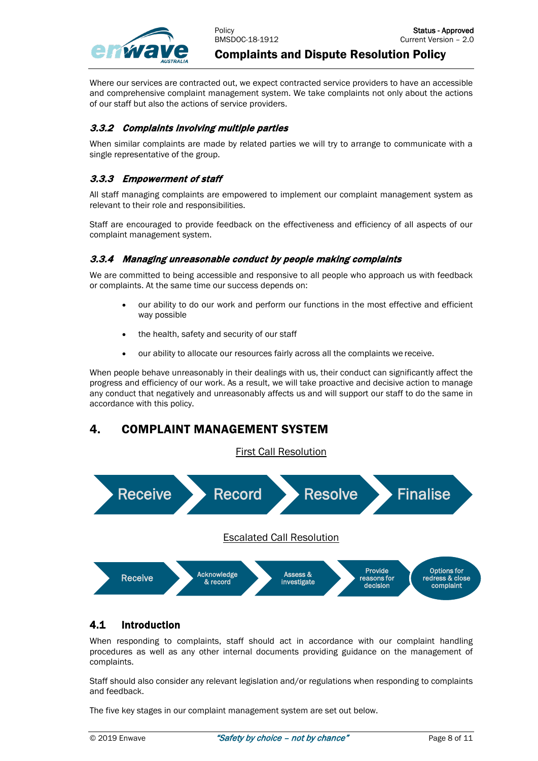

Where our services are contracted out, we expect contracted service providers to have an accessible and comprehensive complaint management system. We take complaints not only about the actions of our staff but also the actions of service providers.

#### <span id="page-7-0"></span>3.3.2 Complaints involving multiple parties

When similar complaints are made by related parties we will try to arrange to communicate with a single representative of the group.

## <span id="page-7-1"></span>3.3.3 Empowerment of staff

All staff managing complaints are empowered to implement our complaint management system as relevant to their role and responsibilities.

Staff are encouraged to provide feedback on the effectiveness and efficiency of all aspects of our complaint management system.

#### <span id="page-7-2"></span>3.3.4 Managing unreasonable conduct by people making complaints

We are committed to being accessible and responsive to all people who approach us with feedback or complaints. At the same time our success depends on:

- our ability to do our work and perform our functions in the most effective and efficient way possible
- the health, safety and security of our staff
- our ability to allocate our resources fairly across all the complaints we receive.

When people behave unreasonably in their dealings with us, their conduct can significantly affect the progress and efficiency of our work. As a result, we will take proactive and decisive action to manage any conduct that negatively and unreasonably affects us and will support our staff to do the same in accordance with this policy.

# <span id="page-7-3"></span>4. COMPLAINT MANAGEMENT SYSTEM

First Call Resolution



## <span id="page-7-4"></span>4.1 Introduction

When responding to complaints, staff should act in accordance with our complaint handling procedures as well as any other internal documents providing guidance on the management of complaints.

Staff should also consider any relevant legislation and/or regulations when responding to complaints and feedback.

The five key stages in our complaint management system are set out below.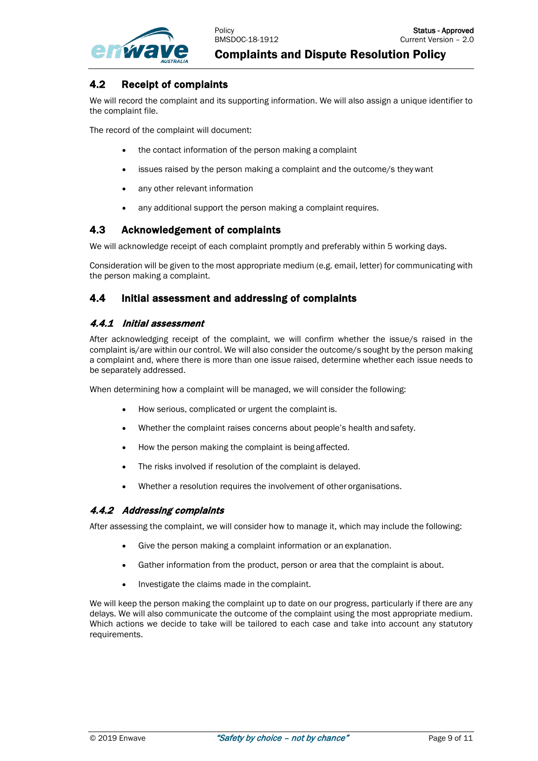

## <span id="page-8-0"></span>4.2 Receipt of complaints

We will record the complaint and its supporting information. We will also assign a unique identifier to the complaint file.

The record of the complaint will document:

- the contact information of the person making a complaint
- issues raised by the person making a complaint and the outcome/s theywant
- any other relevant information
- any additional support the person making a complaint requires.

## <span id="page-8-1"></span>4.3 Acknowledgement of complaints

We will acknowledge receipt of each complaint promptly and preferably within 5 working days.

Consideration will be given to the most appropriate medium (e.g. email, letter) for communicating with the person making a complaint.

#### <span id="page-8-2"></span>4.4 Initial assessment and addressing of complaints

#### <span id="page-8-3"></span>4.4.1 Initial assessment

After acknowledging receipt of the complaint, we will confirm whether the issue/s raised in the complaint is/are within our control. We will also consider the outcome/s sought by the person making a complaint and, where there is more than one issue raised, determine whether each issue needs to be separately addressed.

When determining how a complaint will be managed, we will consider the following:

- How serious, complicated or urgent the complaint is.
- Whether the complaint raises concerns about people's health and safety.
- How the person making the complaint is being affected.
- The risks involved if resolution of the complaint is delayed.
- Whether a resolution requires the involvement of other organisations.

#### <span id="page-8-4"></span>4.4.2 Addressing complaints

After assessing the complaint, we will consider how to manage it, which may include the following:

- Give the person making a complaint information or an explanation.
- Gather information from the product, person or area that the complaint is about.
- Investigate the claims made in the complaint.

<span id="page-8-5"></span>We will keep the person making the complaint up to date on our progress, particularly if there are any delays. We will also communicate the outcome of the complaint using the most appropriate medium. Which actions we decide to take will be tailored to each case and take into account any statutory requirements.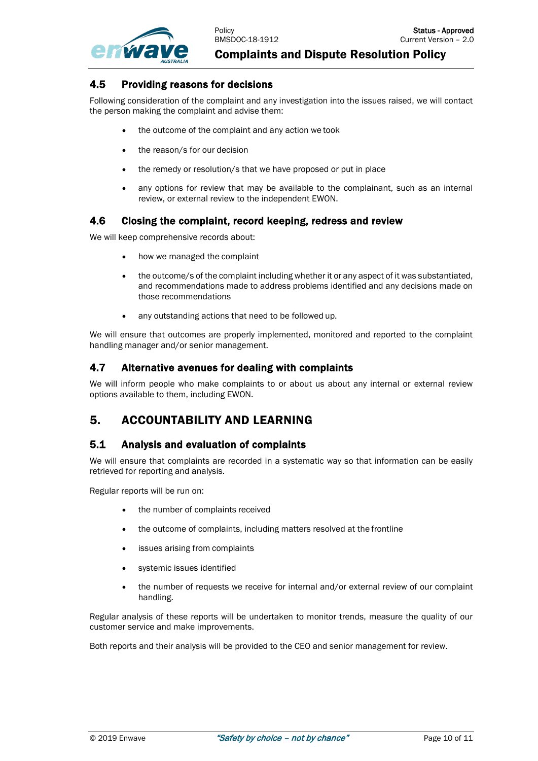

#### 4.5 Providing reasons for decisions

Following consideration of the complaint and any investigation into the issues raised, we will contact the person making the complaint and advise them:

- the outcome of the complaint and any action we took
- the reason/s for our decision
- the remedy or resolution/s that we have proposed or put in place
- any options for review that may be available to the complainant, such as an internal review, or external review to the independent EWON.

#### <span id="page-9-0"></span>4.6 Closing the complaint, record keeping, redress and review

We will keep comprehensive records about:

- how we managed the complaint
- the outcome/s of the complaint including whether it or any aspect of it was substantiated, and recommendations made to address problems identified and any decisions made on those recommendations
- any outstanding actions that need to be followed up.

We will ensure that outcomes are properly implemented, monitored and reported to the complaint handling manager and/or senior management.

## <span id="page-9-1"></span>4.7 Alternative avenues for dealing with complaints

We will inform people who make complaints to or about us about any internal or external review options available to them, including EWON.

# <span id="page-9-2"></span>5. ACCOUNTABILITY AND LEARNING

#### <span id="page-9-3"></span>5.1 Analysis and evaluation of complaints

We will ensure that complaints are recorded in a systematic way so that information can be easily retrieved for reporting and analysis.

Regular reports will be run on:

- the number of complaints received
- the outcome of complaints, including matters resolved at the frontline
- issues arising from complaints
- systemic issues identified
- the number of requests we receive for internal and/or external review of our complaint handling.

Regular analysis of these reports will be undertaken to monitor trends, measure the quality of our customer service and make improvements.

<span id="page-9-4"></span>Both reports and their analysis will be provided to the CEO and senior management for review.